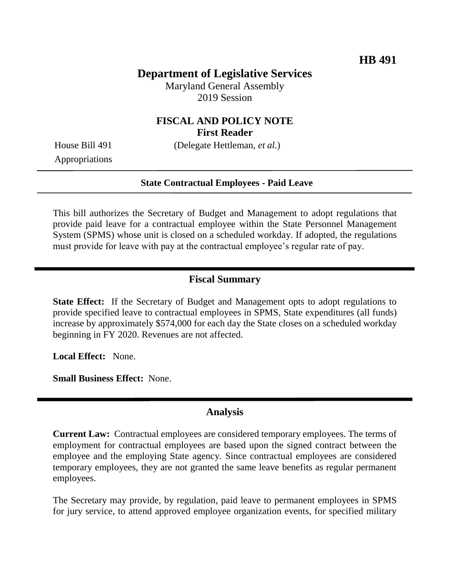# **Department of Legislative Services**

Maryland General Assembly 2019 Session

### **FISCAL AND POLICY NOTE First Reader**

House Bill 491 (Delegate Hettleman, *et al.*)

Appropriations

#### **State Contractual Employees - Paid Leave**

This bill authorizes the Secretary of Budget and Management to adopt regulations that provide paid leave for a contractual employee within the State Personnel Management System (SPMS) whose unit is closed on a scheduled workday. If adopted, the regulations must provide for leave with pay at the contractual employee's regular rate of pay.

#### **Fiscal Summary**

**State Effect:** If the Secretary of Budget and Management opts to adopt regulations to provide specified leave to contractual employees in SPMS, State expenditures (all funds) increase by approximately \$574,000 for each day the State closes on a scheduled workday beginning in FY 2020. Revenues are not affected.

**Local Effect:** None.

**Small Business Effect:** None.

### **Analysis**

**Current Law:** Contractual employees are considered temporary employees. The terms of employment for contractual employees are based upon the signed contract between the employee and the employing State agency. Since contractual employees are considered temporary employees, they are not granted the same leave benefits as regular permanent employees.

The Secretary may provide, by regulation, paid leave to permanent employees in SPMS for jury service, to attend approved employee organization events, for specified military